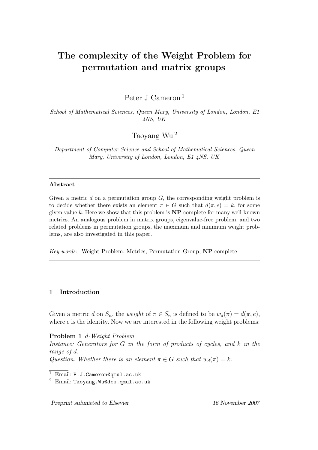# The complexity of the Weight Problem for permutation and matrix groups

Peter J Cameron <sup>1</sup>

School of Mathematical Sciences, Queen Mary, University of London, London, E1 4NS, UK

Taoyang Wu <sup>2</sup>

Department of Computer Science and School of Mathematical Sciences, Queen Mary, University of London, London, E1 4NS, UK

# Abstract

Given a metric  $d$  on a permutation group  $G$ , the corresponding weight problem is to decide whether there exists an element  $\pi \in G$  such that  $d(\pi, e) = k$ , for some given value k. Here we show that this problem is  $NP$ -complete for many well-known metrics. An analogous problem in matrix groups, eigenvalue-free problem, and two related problems in permutation groups, the maximum and minimum weight problems, are also investigated in this paper.

Key words: Weight Problem, Metrics, Permutation Group, NP-complete

# 1 Introduction

Given a metric d on  $S_n$ , the *weight* of  $\pi \in S_n$  is defined to be  $w_d(\pi) = d(\pi, e)$ , where  $e$  is the identity. Now we are interested in the following weight problems:

Problem 1 d-Weight Problem

Instance: Generators for  $G$  in the form of products of cycles, and  $k$  in the range of d.

Question: Whether there is an element  $\pi \in G$  such that  $w_d(\pi) = k$ .

Preprint submitted to Elsevier 16 November 2007

 $\overline{1$  Email: P.J. Cameron@qmul.ac.uk

<sup>2</sup> Email: Taoyang.Wu@dcs.qmul.ac.uk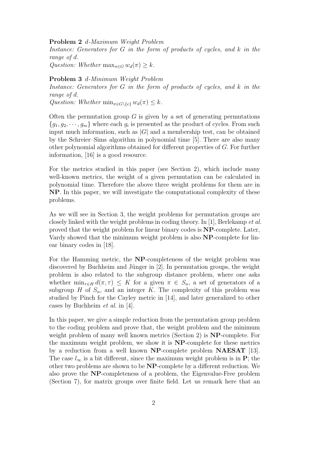#### Problem 2 d-Maximum Weight Problem

Instance: Generators for G in the form of products of cycles, and k in the range of d.

Question: Whether  $\max_{\pi \in G} w_d(\pi) \geq k$ .

## Problem 3 d-Minimum Weight Problem

Instance: Generators for  $G$  in the form of products of cycles, and  $k$  in the range of d.

Question: Whether  $\min_{\pi \in G \backslash \{e\}} w_d(\pi) \leq k$ .

Often the permutation group  $G$  is given by a set of generating permutations  ${g_1, g_2, \dots, g_m}$  where each  $g_i$  is presented as the product of cycles. From such input much information, such as  $|G|$  and a membership test, can be obtained by the Schreier–Sims algorithm in polynomial time [5]. There are also many other polynomial algorithms obtained for different properties of G. For further information, [16] is a good resource.

For the metrics studied in this paper (see Section 2), which include many well-known metrics, the weight of a given permutation can be calculated in polynomial time. Therefore the above three weight problems for them are in NP. In this paper, we will investigate the computational complexity of these problems.

As we will see in Section 3, the weight problems for permutation groups are closely linked with the weight problems in coding theory. In [1], Berlekamp et al. proved that the weight problem for linear binary codes is NP-complete. Later, Vardy showed that the minimum weight problem is also NP-complete for linear binary codes in [18].

For the Hamming metric, the NP-completeness of the weight problem was discovered by Buchheim and Jünger in  $[2]$ . In permutation groups, the weight problem is also related to the subgroup distance problem, where one asks whether  $\min_{\tau \in H} d(\pi, \tau) \leq K$  for a given  $\pi \in S_n$ , a set of generators of a subgroup H of  $S_n$ , and an integer K. The complexity of this problem was studied by Pinch for the Cayley metric in [14], and later generalized to other cases by Buchheim et al. in [4].

In this paper, we give a simple reduction from the permutation group problem to the coding problem and prove that, the weight problem and the minimum weight problem of many well known metrics (Section 2) is NP-complete. For the maximum weight problem, we show it is NP-complete for these metrics by a reduction from a well known NP-complete problem NAESAT [13]. The case  $l_{\infty}$  is a bit different, since the maximum weight problem is in **P**; the other two problems are shown to be NP-complete by a different reduction. We also prove the NP-completeness of a problem, the Eigenvalue-Free problem (Section 7), for matrix groups over finite field. Let us remark here that an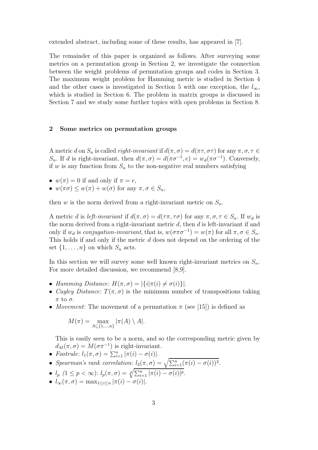extended abstract, including some of these results, has appeared in [7].

The remainder of this paper is organized as follows. After surveying some metrics on a permutation group in Section 2, we investigate the connection between the weight problems of permutation groups and codes in Section 3. The maximum weight problem for Hamming metric is studied in Section 4 and the other cases is investigated in Section 5 with one exception, the  $l_{\infty}$ , which is studied in Section 6. The problem in matrix groups is discussed in Section 7 and we study some further topics with open problems in Section 8.

## 2 Some metrics on permutation groups

A metric d on  $S_n$  is called *right-invariant* if  $d(\pi, \sigma) = d(\pi \tau, \sigma \tau)$  for any  $\pi, \sigma, \tau \in$ S<sub>n</sub>. If d is right-invariant, then  $d(\pi, \sigma) = d(\pi \sigma^{-1}, e) = w_d(\pi \sigma^{-1})$ . Conversely, if w is any function from  $S_n$  to the non-negative real numbers satisfying

- $w(\pi) = 0$  if and only if  $\pi = e$ ,
- $w(\pi\sigma) \leq w(\pi) + w(\sigma)$  for any  $\pi, \sigma \in S_n$ ,

then w is the norm derived from a right-invariant metric on  $S_n$ .

A metric d is left-invariant if  $d(\pi, \sigma) = d(\tau \pi, \tau \sigma)$  for any  $\pi, \sigma, \tau \in S_n$ . If  $w_d$  is the norm derived from a right-invariant metric  $d$ , then  $d$  is left-invariant if and only if  $w_d$  is conjugation-invariant, that is,  $w(\sigma \pi \sigma^{-1}) = w(\pi)$  for all  $\pi, \sigma \in S_n$ . This holds if and only if the metric d does not depend on the ordering of the set  $\{1, \ldots, n\}$  on which  $S_n$  acts.

In this section we will survey some well known right-invariant metrics on  $S_n$ . For more detailed discussion, we recommend [8,9].

- Hamming Distance:  $H(\pi, \sigma) = |\{i | \pi(i) \neq \sigma(i)\}|$ .
- Cayley Distance:  $T(\pi, \sigma)$  is the minimum number of transpositions taking  $\pi$  to  $\sigma$ .
- *Movement*: The movement of a permutation  $\pi$  (see [15]) is defined as

$$
M(\pi) = \max_{A \subseteq \{1, \dots, n\}} |\pi(A) \setminus A|.
$$

This is easily seen to be a norm, and so the corresponding metric given by  $d_M(\pi, \sigma) = M(\sigma \pi^{-1})$  is right-invariant.

- Footrule:  $l_1(\pi, \sigma) = \sum_{i=1}^n |\pi(i) \sigma(i)|$ .
- Spearman's rank correlation:  $l_2(\pi, \sigma) = \sqrt{\sum_{i=1}^n (\pi(i) \sigma(i))^2}$ .
- $l_p$   $(1 \leq p < \infty)$ :  $l_p(\pi, \sigma) = \sqrt[p]{\sum_{i=1}^n |\pi(i) \sigma(i)|^p}$ .
- $l_{\infty}(\pi, \sigma) = \max_{1 \leq i \leq n} |\pi(i) \sigma(i)|$ .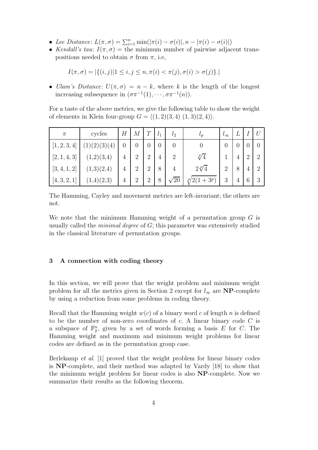- Lee Distance:  $L(\pi, \sigma) = \sum_{i=1}^n \min(|\pi(i) \sigma(i)|, n |\pi(i) \sigma(i)|)$
- Kendall's tau:  $I(\pi, \sigma) =$  the minimum number of pairwise adjacent transpositions needed to obtain  $\sigma$  from  $\pi$ , i.e,

$$
I(\pi, \sigma) = |\{(i, j)| 1 \le i, j \le n, \pi(i) < \pi(j), \sigma(i) > \sigma(j)\}.
$$

• Ulam's Distance:  $U(\pi, \sigma) = n - k$ , where k is the length of the longest increasing subsequence in  $(\sigma \pi^{-1}(1), \cdots, \sigma \pi^{-1}(n)).$ 

For a taste of the above metrics, we give the following table to show the weight of elements in Klein four-group  $G = \langle (1, 2)(3, 4) (1, 3)(2, 4) \rangle$ .

| $\pi$          | cycles                | Н | $\,M$          | ⊥              | l <sub>1</sub> | $l_{2}$        | $\iota_p$                  | $\iota_{\infty}$ |                |                | $\mathcal U$   |
|----------------|-----------------------|---|----------------|----------------|----------------|----------------|----------------------------|------------------|----------------|----------------|----------------|
| [1, 2, 3,<br>4 | (3)(4)<br>$2^{\circ}$ | 0 | 0              | $\overline{0}$ | $\overline{0}$ | $\theta$       | $\theta$                   | 0                |                |                | $\theta$       |
| [2, 1, 4, 3]   | (1,2)(3,4)            | 4 | $\overline{2}$ | $\overline{2}$ | 4              | $\overline{2}$ | $\sqrt[p]{4}$              |                  | $\overline{4}$ | $\overline{2}$ | $\overline{2}$ |
| [3, 4, 1, 2]   | (1,3)(2,4)            | 4 | $\overline{2}$ | $\overline{2}$ | 8              | 4              | $2\sqrt[p]{4}$             | $\overline{2}$   | 8              | $\overline{4}$ | $\overline{2}$ |
| [4, 3, 2, 1]   | (1,4)(2,3)            | 4 | $\overline{2}$ | $\overline{2}$ | 8              | $^{\prime}20$  | $(1+3^p)$<br>$_{\rm *}$ p/ | 3                | 4              | 6              | 3              |

The Hamming, Cayley and movement metrics are left-invariant; the others are not.

We note that the minimum Hamming weight of a permutation group  $G$  is usually called the *minimal degree* of  $G$ ; this parameter was extensively studied in the classical literature of permutation groups.

# 3 A connection with coding theory

In this section, we will prove that the weight problem and minimum weight problem for all the metrics given in Section 2 except for  $l_{\infty}$  are **NP**-complete by using a reduction from some problems in coding theory.

Recall that the Hamming weight  $w(c)$  of a binary word c of length n is defined to be the number of non-zero coordinates of  $c$ . A linear binary code  $C$  is a subspace of  $\mathbb{F}_2^n$ , given by a set of words forming a basis E for C. The Hamming weight and maximum and minimum weight problems for linear codes are defined as in the permutation group case.

Berlekamp et al. [1] proved that the weight problem for linear binary codes is NP-complete, and their method was adapted by Vardy [18] to show that the minimum weight problem for linear codes is also NP-complete. Now we summarize their results as the following theorem.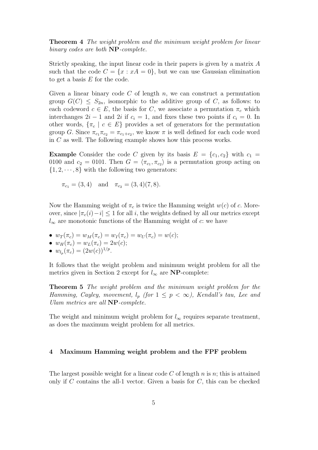Theorem 4 The weight problem and the minimum weight problem for linear binary codes are both NP-complete.

Strictly speaking, the input linear code in their papers is given by a matrix A such that the code  $C = \{x : xA = 0\}$ , but we can use Gaussian elimination to get a basis E for the code.

Given a linear binary code  $C$  of length  $n$ , we can construct a permutation group  $G(C) \leq S_{2n}$ , isomorphic to the additive group of C, as follows: to each codeword  $c \in E$ , the basis for C, we associate a permutation  $\pi_c$  which interchanges  $2i - 1$  and  $2i$  if  $c_i = 1$ , and fixes these two points if  $c_i = 0$ . In other words,  $\{\pi_c \mid c \in E\}$  provides a set of generators for the permutation group G. Since  $\pi_{c_1}\pi_{c_2} = \pi_{c_1+c_2}$ , we know  $\pi$  is well defined for each code word in C as well. The following example shows how this process works.

**Example** Consider the code C given by its basis  $E = \{c_1, c_2\}$  with  $c_1 =$ 0100 and  $c_2 = 0101$ . Then  $G = \langle \pi_{c_1}, \pi_{c_2} \rangle$  is a permutation group acting on  $\{1, 2, \dots, 8\}$  with the following two generators:

 $\pi_{c_1} = (3, 4)$  and  $\pi_{c_2} = (3, 4)(7, 8).$ 

Now the Hamming weight of  $\pi_c$  is twice the Hamming weight  $w(c)$  of c. Moreover, since  $|\pi_c(i)-i| \leq 1$  for all i, the weights defined by all our metrics except  $l_{\infty}$  are monotonic functions of the Hamming weight of c: we have

- $w_T(\pi_c) = w_M(\pi_c) = w_I(\pi_c) = w_U(\pi_c) = w(c);$
- $w_H(\pi_c) = w_L(\pi_c) = 2w(c);$
- $w_{l_p}(\pi_c) = (2w(c))^{1/p}$ .

It follows that the weight problem and minimum weight problem for all the metrics given in Section 2 except for  $l_{\infty}$  are **NP**-complete:

Theorem 5 The weight problem and the minimum weight problem for the Hamming, Cayley, movement,  $l_p$  (for  $1 \leq p \leq \infty$ ), Kendall's tau, Lee and Ulam metrics are all NP-complete.

The weight and minimum weight problem for  $l_{\infty}$  requires separate treatment, as does the maximum weight problem for all metrics.

#### 4 Maximum Hamming weight problem and the FPF problem

The largest possible weight for a linear code  $C$  of length  $n$  is  $n$ ; this is attained only if  $C$  contains the all-1 vector. Given a basis for  $C$ , this can be checked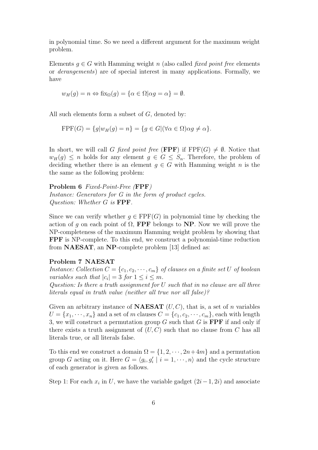in polynomial time. So we need a different argument for the maximum weight problem.

Elements  $q \in G$  with Hamming weight n (also called *fixed point free* elements or derangements) are of special interest in many applications. Formally, we have

$$
w_H(g) = n \Leftrightarrow \text{fix}_{\Omega}(g) = \{ \alpha \in \Omega | \alpha g = \alpha \} = \emptyset.
$$

All such elements form a subset of  $G$ , denoted by:

$$
FPF(G) = \{ g | w_H(g) = n \} = \{ g \in G | (\forall \alpha \in \Omega) \alpha g \neq \alpha \}.
$$

In short, we will call G fixed point free (FPF) if  $FPF(G) \neq \emptyset$ . Notice that  $w_H(g) \leq n$  holds for any element  $g \in G \leq S_n$ . Therefore, the problem of deciding whether there is an element  $g \in G$  with Hamming weight n is the the same as the following problem:

Problem 6 Fixed-Point-Free (FPF) Instance: Generators for G in the form of product cycles. Question: Whether G is FPF.

Since we can verify whether  $g \in \text{FPF}(G)$  in polynomial time by checking the action of q on each point of  $\Omega$ , **FPF** belongs to **NP**. Now we will prove the NP-completeness of the maximum Hamming weight problem by showing that FPF is NP-complete. To this end, we construct a polynomial-time reduction from NAESAT, an NP-complete problem [13] defined as:

# Problem 7 NAESAT

Instance: Collection  $C = \{c_1, c_2, \dots, c_m\}$  of clauses on a finite set U of boolean variables such that  $|c_i| = 3$  for  $1 \le i \le m$ .

Question: Is there a truth assignment for U such that in no clause are all three literals equal in truth value (neither all true nor all false)?

Given an arbitrary instance of **NAESAT**  $(U, C)$ , that is, a set of *n* variables  $U = \{x_1, \dots, x_n\}$  and a set of m clauses  $C = \{c_1, c_2, \dots, c_m\}$ , each with length 3, we will construct a permutation group G such that G is **FPF** if and only if there exists a truth assignment of  $(U, C)$  such that no clause from C has all literals true, or all literals false.

To this end we construct a domain  $\Omega = \{1, 2, \dots, 2n + 4m\}$  and a permutation group G acting on it. Here  $G = \langle g_i, g'_i \mid i = 1, \dots, n \rangle$  and the cycle structure of each generator is given as follows.

Step 1: For each  $x_i$  in U, we have the variable gadget  $(2i-1, 2i)$  and associate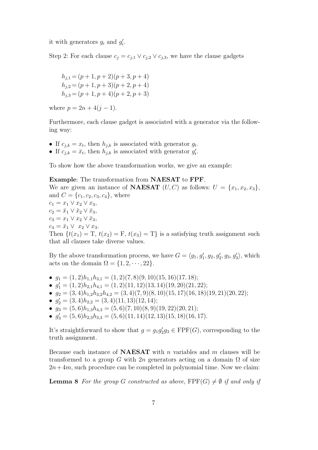it with generators  $g_i$  and  $g'_i$ .

Step 2: For each clause  $c_j = c_{j,1} \vee c_{j,2} \vee c_{j,3}$ , we have the clause gadgets

$$
h_{j,1} = (p+1, p+2)(p+3, p+4)
$$
  
\n
$$
h_{j,2} = (p+1, p+3)(p+2, p+4)
$$
  
\n
$$
h_{j,3} = (p+1, p+4)(p+2, p+3)
$$

where  $p = 2n + 4(j - 1)$ .

Furthermore, each clause gadget is associated with a generator via the following way:

- If  $c_{j,k} = x_t$ , then  $h_{j,k}$  is associated with generator  $g_t$ .
- If  $c_{j,k} = \bar{x}_t$ , then  $h_{j,k}$  is associated with generator  $g'_t$ .

To show how the above transformation works, we give an example:

# Example: The transformation from NAESAT to FPF. We are given an instance of **NAESAT**  $(U, C)$  as follows:  $U = \{x_1, x_2, x_3\},\$ and  $C = \{c_1, c_2, c_3, c_4\}$ , where  $c_1 = x_1 \vee x_2 \vee x_3$  $c_2 = \bar{x}_1 \vee \bar{x}_2 \vee \bar{x}_3,$  $c_3 = x_1 \vee x_2 \vee \bar{x}_3,$  $c_4 = \bar{x}_1 \vee x_2 \vee x_3.$ Then  $\{t(x_1) = T, t(x_2) = F, t(x_3) = T\}$  is a satisfying truth assignment such that all clauses take diverse values.

By the above transformation process, we have  $G = \langle g_1, g'_1, g_2, g'_2, g_3, g'_3 \rangle$ , which acts on the domain  $\Omega = \{1, 2, \dots, 22\}.$ 

- $g_1 = (1, 2)h_{1,1}h_{3,1} = (1, 2)(7, 8)(9, 10)(15, 16)(17, 18);$
- $g'_1 = (1, 2)h_{2,1}h_{4,1} = (1, 2)(11, 12)(13, 14)(19, 20)(21, 22);$
- $g_2 = (3, 4)h_{1,2}h_{3,2}h_{4,2} = (3, 4)(7, 9)(8, 10)(15, 17)(16, 18)(19, 21)(20, 22);$
- $g'_2 = (3, 4)h_{2,2} = (3, 4)(11, 13)(12, 14);$
- $g_3 = (5,6)h_{1,3}h_{4,3} = (5,6)(7,10)(8,9)(19,22)(20,21);$
- $g'_3 = (5,6)h_{2,3}h_{3,3} = (5,6)(11,14)(12,13)(15,18)(16,17).$

It's straightforward to show that  $g = g_1 g_2' g_3 \in \text{FPF}(G)$ , corresponding to the truth assignment.

Because each instance of **NAESAT** with n variables and  $m$  clauses will be transformed to a group G with 2n generators acting on a domain  $\Omega$  of size  $2n+4m$ , such procedure can be completed in polynomial time. Now we claim:

**Lemma 8** For the group G constructed as above,  $\text{FPF}(G) \neq \emptyset$  if and only if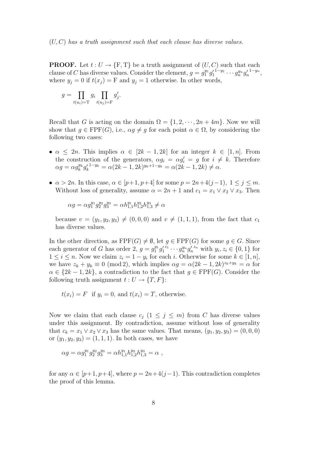**PROOF.** Let  $t: U \to \{F, T\}$  be a truth assignment of  $(U, C)$  such that each clause of C has diverse values. Consider the element,  $g = g_1^{y_1} g_1'$  $\frac{1-y_1}{\cdots} \cdots g_n^{y_n} g_n'$  $^{1-y_n},$ where  $y_j = 0$  if  $t(x_j) = F$  and  $y_j = 1$  otherwise. In other words,

$$
g = \prod_{t(u_i) = T} g_i \prod_{t(u_j) = F} g'_j.
$$

Recall that G is acting on the domain  $\Omega = \{1, 2, \dots, 2n + 4m\}$ . Now we will show that  $g \in \text{FPF}(G)$ , i.e.,  $\alpha g \neq g$  for each point  $\alpha \in \Omega$ , by considering the following two cases:

- $\alpha \leq 2n$ . This implies  $\alpha \in [2k-1, 2k]$  for an integer  $k \in [1, n]$ . From the construction of the generators,  $\alpha g_i = \alpha g'_i = g$  for  $i \neq k$ . Therefore  $\alpha g = \alpha g_k^{y_k} g_k'^{1-y_k} = \alpha (2k-1, 2k)^{y_k+1-y_k} = \alpha (2k-1, 2k) \neq \alpha.$
- $\alpha > 2n$ . In this case,  $\alpha \in [p+1, p+4]$  for some  $p = 2n+4(j-1), 1 \leq j \leq m$ . Without loss of generality, assume  $\alpha = 2n + 1$  and  $c_1 = x_1 \vee x_2 \vee x_3$ . Then

$$
\alpha g=\alpha g_1^{y_1}g_2^{y_2}g_3^{y_3}=\alpha h_{1,1}^{y_1}h_{1,2}^{y_2}h_{1,3}^{y_3}\neq \alpha
$$

because  $v = (y_1, y_2, y_3) \neq (0, 0, 0)$  and  $v \neq (1, 1, 1)$ , from the fact that  $c_1$ has diverse values.

In the other direction, as  $\text{FPF}(G) \neq \emptyset$ , let  $g \in \text{FPF}(G)$  for some  $g \in G$ . Since each generator of G has order 2,  $g = g_1^{y_1} g_1'$  $z_1 \cdots g_n^{y_n} g'_n^{z_n}$  with  $y_i, z_i \in \{0, 1\}$  for  $1 \leq i \leq n$ . Now we claim  $z_i = 1 - y_i$  for each i. Otherwise for some  $k \in [1, n]$ , we have  $z_k + y_k \equiv 0 \pmod{2}$ , which implies  $\alpha g = \alpha (2k - 1, 2k)^{z_k + y_k} = \alpha$  for  $\alpha \in \{2k-1, 2k\}$ , a contradiction to the fact that  $q \in \text{FPF}(G)$ . Consider the following truth assignment  $t: U \to \{T, F\}$ :

$$
t(x_i) = F
$$
 if  $y_i = 0$ , and  $t(x_i) = T$ , otherwise.

Now we claim that each clause  $c_j$   $(1 \leq j \leq m)$  from C has diverse values under this assignment. By contradiction, assume without loss of generality that  $c_k = x_1 \vee x_2 \vee x_3$  has the same values. That means,  $(y_1, y_2, y_3) = (0, 0, 0)$ or  $(y_1, y_2, y_3) = (1, 1, 1)$ . In both cases, we have

$$
\alpha g = \alpha g_1^{y_1} g_2^{y_2} g_3^{y_3} = \alpha h_{1,1}^{y_1} h_{1,2}^{y_2} h_{1,3}^{y_3} = \alpha \ ,
$$

for any  $\alpha \in [p+1, p+4]$ , where  $p = 2n+4(j-1)$ . This contradiction completes the proof of this lemma.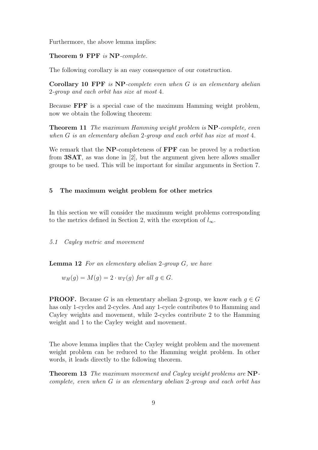Furthermore, the above lemma implies:

Theorem 9 FPF is NP-complete.

The following corollary is an easy consequence of our construction.

Corollary 10 FPF is NP-complete even when G is an elementary abelian 2-group and each orbit has size at most 4.

Because FPF is a special case of the maximum Hamming weight problem, now we obtain the following theorem:

Theorem 11 The maximum Hamming weight problem is NP-complete, even when G is an elementary abelian 2-group and each orbit has size at most 4.

We remark that the NP-completeness of FPF can be proved by a reduction from 3SAT, as was done in [2], but the argument given here allows smaller groups to be used. This will be important for similar arguments in Section 7.

# 5 The maximum weight problem for other metrics

In this section we will consider the maximum weight problems corresponding to the metrics defined in Section 2, with the exception of  $l_{\infty}$ .

5.1 Cayley metric and movement

**Lemma 12** For an elementary abelian 2-group  $G$ , we have

 $w_H(q) = M(q) = 2 \cdot w_T(q)$  for all  $q \in G$ .

**PROOF.** Because G is an elementary abelian 2-group, we know each  $q \in G$ has only 1-cycles and 2-cycles. And any 1-cycle contributes 0 to Hamming and Cayley weights and movement, while 2-cycles contribute 2 to the Hamming weight and 1 to the Cayley weight and movement.

The above lemma implies that the Cayley weight problem and the movement weight problem can be reduced to the Hamming weight problem. In other words, it leads directly to the following theorem.

Theorem 13 The maximum movement and Cayley weight problems are NPcomplete, even when G is an elementary abelian 2-group and each orbit has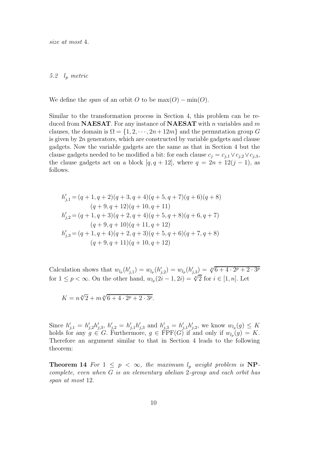size at most 4.

#### 5.2 l<sup>p</sup> metric

We define the *span* of an orbit O to be  $max(O) - min(O)$ .

Similar to the transformation process in Section 4, this problem can be reduced from **NAESAT**. For any instance of **NAESAT** with n variables and m clauses, the domain is  $\Omega = \{1, 2, \dots, 2n + 12m\}$  and the permutation group G is given by  $2n$  generators, which are constructed by variable gadgets and clause gadgets. Now the variable gadgets are the same as that in Section 4 but the clause gadgets needed to be modified a bit: for each clause  $c_j = c_{j,1} \vee c_{j,2} \vee c_{j,3}$ , the clause gadgets act on a block  $[q, q + 12]$ , where  $q = 2n + 12(j - 1)$ , as follows.

$$
h'_{j,1} = (q+1, q+2)(q+3, q+4)(q+5, q+7)(q+6)(q+8)
$$
  
\n
$$
(q+9, q+12)(q+10, q+11)
$$
  
\n
$$
h'_{j,2} = (q+1, q+3)(q+2, q+4)(q+5, q+8)(q+6, q+7)
$$
  
\n
$$
(q+9, q+10)(q+11, q+12)
$$
  
\n
$$
h'_{j,3} = (q+1, q+4)(q+2, q+3)(q+5, q+6)(q+7, q+8)
$$
  
\n
$$
(q+9, q+11)(q+10, q+12)
$$

Calculation shows that  $w_{l_p}(h'_{j,1}) = w_{l_p}(h'_{j,2}) = w_{l_p}(h'_{j,3}) = \sqrt[p]{6+4\cdot 2^p+2\cdot 3^p}$ for  $1 \leq p < \infty$ . On the other hand,  $w_{l_p}(2i-1, 2i) = \sqrt[p]{2}$  for  $i \in [1, n]$ . Let

 $K = n\sqrt[p]{2} + m\sqrt[p]{6 + 4 \cdot 2^p + 2 \cdot 3^p}.$ 

Since  $h'_{j,1} = h'_{j,2}h'_{j,3}$ ,  $h'_{j,2} = h'_{j,1}h'_{j,3}$  and  $h'_{j,3} = h'_{j,1}h'_{j,2}$ , we know  $w_{l_p}(g) \leq K$ holds for any  $g \in G$ . Furthermore,  $g \in \text{FPF}(G)$  if and only if  $w_{l_p}(g) = K$ . Therefore an argument similar to that in Section 4 leads to the following theorem:

**Theorem 14** For  $1 \leq p \leq \infty$ , the maximum  $l_p$  weight problem is NPcomplete, even when G is an elementary abelian 2-group and each orbit has span at most 12.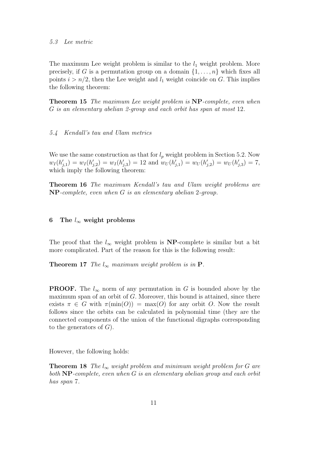The maximum Lee weight problem is similar to the  $l_1$  weight problem. More precisely, if G is a permutation group on a domain  $\{1, \ldots, n\}$  which fixes all points  $i > n/2$ , then the Lee weight and  $l_1$  weight coincide on G. This implies the following theorem:

Theorem 15 The maximum Lee weight problem is NP-complete, even when G is an elementary abelian 2-group and each orbit has span at most 12.

#### 5.4 Kendall's tau and Ulam metrics

We use the same construction as that for  $l_p$  weight problem in Section 5.2. Now  $w_I(h'_{j,1}) = w_I(h'_{j,2}) = w_I(h'_{j,3}) = 12$  and  $w_U(h'_{j,1}) = w_U(h'_{j,2}) = w_U(h'_{j,3}) = 7$ , which imply the following theorem:

Theorem 16 The maximum Kendall's tau and Ulam weight problems are NP-complete, even when G is an elementary abelian 2-group.

#### 6 The  $l_{\infty}$  weight problems

The proof that the  $l_{\infty}$  weight problem is NP-complete is similar but a bit more complicated. Part of the reason for this is the following result:

**Theorem 17** The  $l_{\infty}$  maximum weight problem is in  $P$ .

**PROOF.** The  $l_{\infty}$  norm of any permutation in G is bounded above by the maximum span of an orbit of  $G$ . Moreover, this bound is attained, since there exists  $\pi \in G$  with  $\pi(\min(O)) = \max(O)$  for any orbit O. Now the result follows since the orbits can be calculated in polynomial time (they are the connected components of the union of the functional digraphs corresponding to the generators of  $G$ ).

However, the following holds:

**Theorem 18** The  $l_{\infty}$  weight problem and minimum weight problem for G are both **NP**-complete, even when G is an elementary abelian group and each orbit has span 7.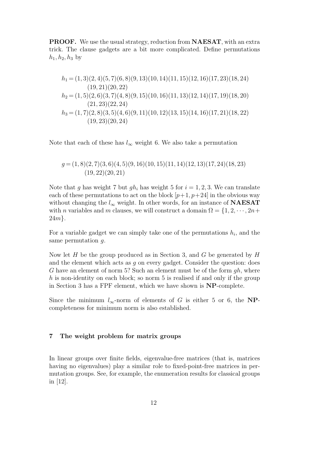PROOF. We use the usual strategy, reduction from NAESAT, with an extra trick. The clause gadgets are a bit more complicated. Define permutations  $h_1, h_2, h_3$  by

$$
h_1 = (1,3)(2,4)(5,7)(6,8)(9,13)(10,14)(11,15)(12,16)(17,23)(18,24)
$$
  
(19,21)(20,22)  

$$
h_2 = (1,5)(2,6)(3,7)(4,8)(9,15)(10,16)(11,13)(12,14)(17,19)(18,20)
$$
  
(21,23)(22,24)  

$$
h_3 = (1,7)(2,8)(3,5)(4,6)(9,11)(10,12)(13,15)(14,16)(17,21)(18,22)
$$
  
(19,23)(20,24)

Note that each of these has  $l_{\infty}$  weight 6. We also take a permutation

$$
g = (1, 8)(2, 7)(3, 6)(4, 5)(9, 16)(10, 15)(11, 14)(12, 13)(17, 24)(18, 23)
$$
  
(19, 22)(20, 21)

Note that g has weight 7 but  $gh_i$  has weight 5 for  $i = 1, 2, 3$ . We can translate each of these permutations to act on the block  $[p+1, p+24]$  in the obvious way without changing the  $l_{\infty}$  weight. In other words, for an instance of **NAESAT** with *n* variables and *m* clauses, we will construct a domain  $\Omega = \{1, 2, \dots, 2n +$ 24m}.

For a variable gadget we can simply take one of the permutations  $h_i$ , and the same permutation g.

Now let  $H$  be the group produced as in Section 3, and  $G$  be generated by  $H$ and the element which acts as g on every gadget. Consider the question: does G have an element of norm 5? Such an element must be of the form  $qh$ , where  $h$  is non-identity on each block; so norm 5 is realised if and only if the group in Section 3 has a FPF element, which we have shown is NP-complete.

Since the minimum  $l_{\infty}$ -norm of elements of G is either 5 or 6, the NPcompleteness for minimum norm is also established.

# 7 The weight problem for matrix groups

In linear groups over finite fields, eigenvalue-free matrices (that is, matrices having no eigenvalues) play a similar role to fixed-point-free matrices in permutation groups. See, for example, the enumeration results for classical groups in [12].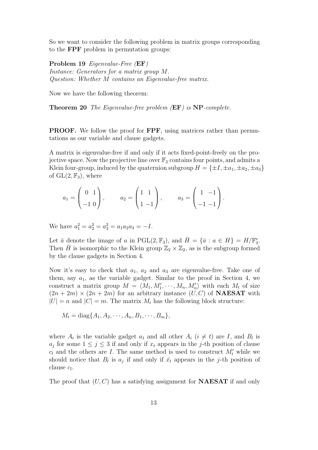So we want to consider the following problem in matrix groups corresponding to the FPF problem in permutation groups:

Problem 19 Eigenvalue-Free (EF) Instance: Generators for a matrix group M. Question: Whether M contains an Eigenvalue-free matrix.

Now we have the following theorem:

Theorem 20 The Eigenvalue-free problem (EF) is NP-complete.

PROOF. We follow the proof for FPF, using matrices rather than permutations as our variable and clause gadgets.

A matrix is eigenvalue-free if and only if it acts fixed-point-freely on the projective space. Now the projective line over  $\mathbb{F}_3$  contains four points, and admits a Klein four-group, induced by the quaternion subgroup  $H = \{\pm I, \pm a_1, \pm a_2, \pm a_3\}$ of  $GL(2, \mathbb{F}_3)$ , where

$$
a_1 = \begin{pmatrix} 0 & 1 \\ -1 & 0 \end{pmatrix}, \qquad a_2 = \begin{pmatrix} 1 & 1 \\ 1 & -1 \end{pmatrix}, \qquad a_3 = \begin{pmatrix} 1 & -1 \\ -1 & -1 \end{pmatrix}.
$$

We have  $a_1^2 = a_2^2 = a_3^2 = a_1 a_2 a_3 = -I$ .

Let  $\bar{a}$  denote the image of a in PGL(2,  $\mathbb{F}_3$ ), and  $\bar{H} = {\bar{a} : a \in H} = H/\mathbb{F}_3^*$ . Then  $\bar{H}$  is isomorphic to the Klein group  $\mathbb{Z}_2 \times \mathbb{Z}_2$ , as is the subgroup formed by the clause gadgets in Section 4.

Now it's easy to check that  $a_1$ ,  $a_2$  and  $a_3$  are eigenvalue-free. Take one of them, say  $a_1$ , as the variable gadget. Similar to the proof in Section 4, we construct a matrix group  $M = \langle M_1, M'_1, \cdots, M_n, M'_n \rangle$  with each  $M_t$  of size  $(2n + 2m) \times (2n + 2m)$  for an arbitrary instance  $(U, C)$  of **NAESAT** with  $|U| = n$  and  $|C| = m$ . The matrix  $M_t$  has the following block structure:

$$
M_t = \text{diag}\{A_1, A_2, \cdots, A_n, B_1, \cdots, B_m\},\
$$

where  $A_t$  is the variable gadget  $a_1$  and all other  $A_i$   $(i \neq t)$  are I, and  $B_l$  is  $a_j$  for some  $1 \leq j \leq 3$  if and only if  $x_t$  appears in the j-th position of clause  $c_l$  and the others are I. The same method is used to construct  $M'_t$  while we should notice that  $B_l$  is  $a_j$  if and only if  $\bar{x}_t$  appears in the j-th position of  $_{\text{clause }c_l}$ .

The proof that  $(U, C)$  has a satisfying assignment for **NAESAT** if and only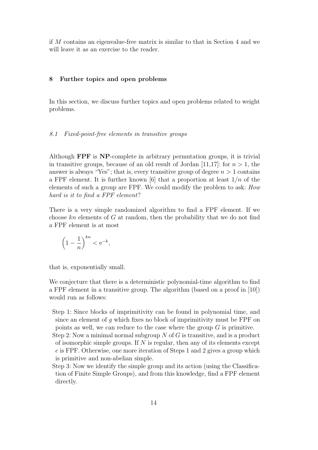if M contains an eigenvalue-free matrix is similar to that in Section 4 and we will leave it as an exercise to the reader.

#### 8 Further topics and open problems

In this section, we discuss further topics and open problems related to weight problems.

#### 8.1 Fixed-point-free elements in transitive groups

Although FPF is NP-complete in arbitrary permutation groups, it is trivial in transitive groups, because of an old result of Jordan [11,17]: for  $n > 1$ , the answer is always "Yes"; that is, every transitive group of degree  $n > 1$  contains a FPF element. It is further known [6] that a proportion at least  $1/n$  of the elements of such a group are FPF. We could modify the problem to ask: How hard is it to find a FPF element?

There is a very simple randomized algorithm to find a FPF element. If we choose  $kn$  elements of  $G$  at random, then the probability that we do not find a FPF element is at most

$$
\left(1 - \frac{1}{n}\right)^{kn} < e^{-k},
$$

that is, exponentially small.

We conjecture that there is a deterministic polynomial-time algorithm to find a FPF element in a transitive group. The algorithm (based on a proof in [10]) would run as follows:

- Step 1: Since blocks of imprimitivity can be found in polynomial time, and since an element of  $g$  which fixes no block of imprimitivity must be FPF on points as well, we can reduce to the case where the group  $G$  is primitive.
- Step 2: Now a minimal normal subgroup  $N$  of  $G$  is transitive, and is a product of isomorphic simple groups. If  $N$  is regular, then any of its elements except e is FPF. Otherwise, one more iteration of Steps 1 and 2 gives a group which is primitive and non-abelian simple.
- Step 3: Now we identify the simple group and its action (using the Classification of Finite Simple Groups), and from this knowledge, find a FPF element directly.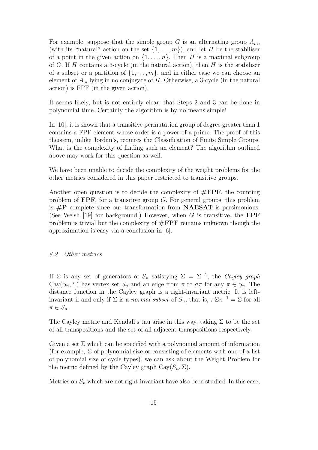For example, suppose that the simple group  $G$  is an alternating group  $A_m$ , (with its "natural" action on the set  $\{1, \ldots, m\}$ ), and let H be the stabiliser of a point in the given action on  $\{1, \ldots, n\}$ . Then H is a maximal subgroup of G. If H contains a 3-cycle (in the natural action), then H is the stabiliser of a subset or a partition of  $\{1, \ldots, m\}$ , and in either case we can choose an element of  $A_m$  lying in no conjugate of H. Otherwise, a 3-cycle (in the natural action) is FPF (in the given action).

It seems likely, but is not entirely clear, that Steps 2 and 3 can be done in polynomial time. Certainly the algorithm is by no means simple!

In [10], it is shown that a transitive permutation group of degree greater than 1 contains a FPF element whose order is a power of a prime. The proof of this theorem, unlike Jordan's, requires the Classification of Finite Simple Groups. What is the complexity of finding such an element? The algorithm outlined above may work for this question as well.

We have been unable to decide the complexity of the weight problems for the other metrics considered in this paper restricted to transitive groups.

Another open question is to decide the complexity of  $\#$ **FPF**, the counting problem of  $\mathbf{FPF}$ , for a transitive group G. For general groups, this problem is  $\#P$  complete since our transformation from **NAESAT** is parsimonious. (See Welsh [19] for background.) However, when  $G$  is transitive, the **FPF** problem is trivial but the complexity of  $\#$ **FPF** remains unknown though the approximation is easy via a conclusion in [6].

#### 8.2 Other metrics

If  $\Sigma$  is any set of generators of  $S_n$  satisfying  $\Sigma = \Sigma^{-1}$ , the Cayley graph  $Cay(S_n, \Sigma)$  has vertex set  $S_n$  and an edge from  $\pi$  to  $\sigma\pi$  for any  $\pi \in S_n$ . The distance function in the Cayley graph is a right-invariant metric. It is leftinvariant if and only if  $\Sigma$  is a *normal subset* of  $S_n$ , that is,  $\pi \Sigma \pi^{-1} = \Sigma$  for all  $\pi \in S_n$ .

The Cayley metric and Kendall's tau arise in this way, taking  $\Sigma$  to be the set of all transpositions and the set of all adjacent transpositions respectively.

Given a set  $\Sigma$  which can be specified with a polynomial amount of information (for example,  $\Sigma$  of polynomial size or consisting of elements with one of a list of polynomial size of cycle types), we can ask about the Weight Problem for the metric defined by the Cayley graph  $Cay(S_n, \Sigma)$ .

Metrics on  $S_n$  which are not right-invariant have also been studied. In this case,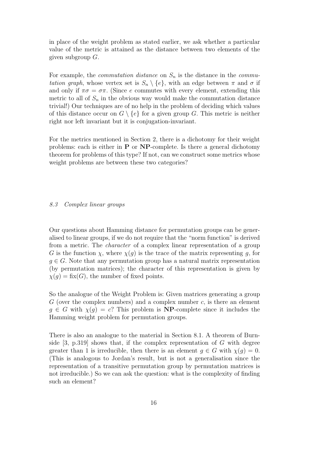in place of the weight problem as stated earlier, we ask whether a particular value of the metric is attained as the distance between two elements of the given subgroup  $G$ .

For example, the *commutation distance* on  $S_n$  is the distance in the *commu*tation graph, whose vertex set is  $S_n \setminus \{e\}$ , with an edge between  $\pi$  and  $\sigma$  if and only if  $\pi\sigma = \sigma\pi$ . (Since e commutes with every element, extending this metric to all of  $S_n$  in the obvious way would make the commutation distance trivial!) Our techniques are of no help in the problem of deciding which values of this distance occur on  $G \setminus \{e\}$  for a given group G. This metric is neither right nor left invariant but it is conjugation-invariant.

For the metrics mentioned in Section 2, there is a dichotomy for their weight problems: each is either in  $P$  or  $NP$ -complete. Is there a general dichotomy theorem for problems of this type? If not, can we construct some metrics whose weight problems are between these two categories?

#### 8.3 Complex linear groups

Our questions about Hamming distance for permutation groups can be generalised to linear groups, if we do not require that the "norm function" is derived from a metric. The *character* of a complex linear representation of a group G is the function  $\chi$ , where  $\chi(g)$  is the trace of the matrix representing g, for  $q \in G$ . Note that any permutation group has a natural matrix representation (by permutation matrices); the character of this representation is given by  $\chi(g) = \text{fix}(G)$ , the number of fixed points.

So the analogue of the Weight Problem is: Given matrices generating a group  $G$  (over the complex numbers) and a complex number  $c$ , is there an element  $g \in G$  with  $\chi(g) = c$ ? This problem is **NP**-complete since it includes the Hamming weight problem for permutation groups.

There is also an analogue to the material in Section 8.1. A theorem of Burnside  $[3, p.319]$  shows that, if the complex representation of G with degree greater than 1 is irreducible, then there is an element  $q \in G$  with  $\chi(q) = 0$ . (This is analogous to Jordan's result, but is not a generalisation since the representation of a transitive permutation group by permutation matrices is not irreducible.) So we can ask the question: what is the complexity of finding such an element?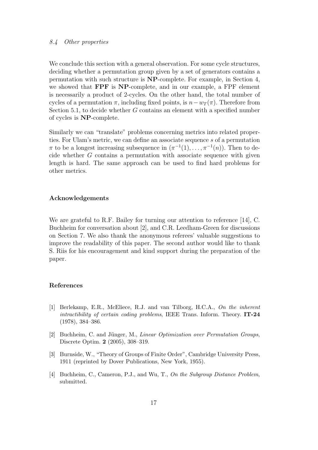#### 8.4 Other properties

We conclude this section with a general observation. For some cycle structures, deciding whether a permutation group given by a set of generators contains a permutation with such structure is NP-complete. For example, in Section 4, we showed that FPF is NP-complete, and in our example, a FPF element is necessarily a product of 2-cycles. On the other hand, the total number of cycles of a permutation  $\pi$ , including fixed points, is  $n-w_T(\pi)$ . Therefore from Section 5.1, to decide whether  $G$  contains an element with a specified number of cycles is NP-complete.

Similarly we can "translate" problems concerning metrics into related properties. For Ulam's metric, we can define an associate sequence s of a permutation  $\pi$  to be a longest increasing subsequence in  $(\pi^{-1}(1), \ldots, \pi^{-1}(n))$ . Then to decide whether G contains a permutation with associate sequence with given length is hard. The same approach can be used to find hard problems for other metrics.

#### Acknowledgements

We are grateful to R.F. Bailey for turning our attention to reference [14], C. Buchheim for conversation about [2], and C.R. Leedham-Green for discussions on Section 7. We also thank the anonymous referees' valuable suggestions to improve the readability of this paper. The second author would like to thank S. Riis for his encouragement and kind support during the preparation of the paper.

#### References

- [1] Berlekamp, E.R., McEliece, R.J. and van Tilborg, H.C.A., On the inherent intractibility of certain coding problems, IEEE Trans. Inform. Theory. **IT-24** (1978), 384–386.
- [2] Buchheim, C. and Jünger, M., *Linear Optimization over Permutation Groups*, Discrete Optim. 2 (2005), 308–319.
- [3] Burnside, W., "Theory of Groups of Finite Order", Cambridge University Press, 1911 (reprinted by Dover Publications, New York, 1955).
- [4] Buchheim, C., Cameron, P.J., and Wu, T., On the Subgroup Distance Problem, submitted.